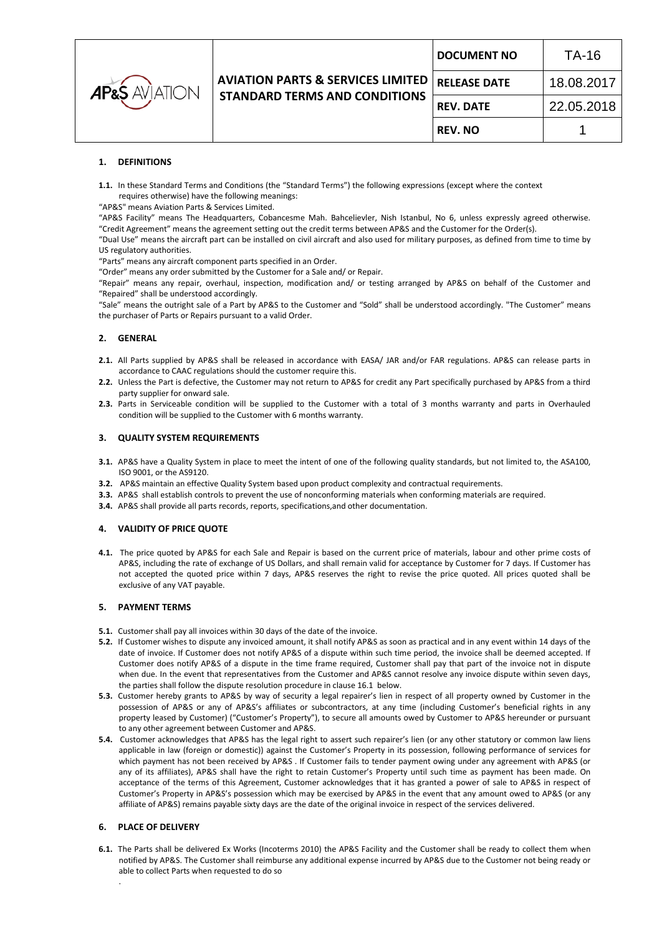| <b>AP&amp;S</b> AVIATION | <b>AVIATION PARTS &amp; SERVICES LIMITED   RELEASE DATE</b><br><b>STANDARD TERMS AND CONDITIONS</b> | <b>DOCUMENT NO</b> | TA-16      |
|--------------------------|-----------------------------------------------------------------------------------------------------|--------------------|------------|
|                          |                                                                                                     |                    | 18.08.2017 |
|                          |                                                                                                     | <b>REV. DATE</b>   | 22.05.2018 |
|                          |                                                                                                     | <b>REV. NO</b>     |            |

## **1. DEFINITIONS**

**1.1.** In these Standard Terms and Conditions (the "Standard Terms") the following expressions (except where the context requires otherwise) have the following meanings:

"AP&S" means Aviation Parts & Services Limited.

"AP&S Facility" means The Headquarters, Cobancesme Mah. Bahcelievler, Nish Istanbul, No 6, unless expressly agreed otherwise. "Credit Agreement" means the agreement setting out the credit terms between AP&S and the Customer for the Order(s).

"Dual Use" means the aircraft part can be installed on civil aircraft and also used for military purposes, as defined from time to time by US regulatory authorities.

"Parts" means any aircraft component parts specified in an Order.

"Order" means any order submitted by the Customer for a Sale and/ or Repair.

"Repair" means any repair, overhaul, inspection, modification and/ or testing arranged by AP&S on behalf of the Customer and "Repaired" shall be understood accordingly.

"Sale" means the outright sale of a Part by AP&S to the Customer and "Sold" shall be understood accordingly. "The Customer" means the purchaser of Parts or Repairs pursuant to a valid Order.

# **2. GENERAL**

- **2.1.** All Parts supplied by AP&S shall be released in accordance with EASA/ JAR and/or FAR regulations. AP&S can release parts in accordance to CAAC regulations should the customer require this.
- **2.2.** Unless the Part is defective, the Customer may not return to AP&S for credit any Part specifically purchased by AP&S from a third party supplier for onward sale.
- **2.3.** Parts in Serviceable condition will be supplied to the Customer with a total of 3 months warranty and parts in Overhauled condition will be supplied to the Customer with 6 months warranty.

### **3. QUALITY SYSTEM REQUIREMENTS**

- **3.1.** AP&S have a Quality System in place to meet the intent of one of the following quality standards, but not limited to, the ASA100, ISO 9001, or the AS9120.
- **3.2.** AP&S maintain an effective Quality System based upon product complexity and contractual requirements.
- **3.3.** AP&S shall establish controls to prevent the use of nonconforming materials when conforming materials are required.
- **3.4.** AP&S shall provide all parts records, reports, specifications,and other documentation.

## **4. VALIDITY OF PRICE QUOTE**

**4.1.** The price quoted by AP&S for each Sale and Repair is based on the current price of materials, labour and other prime costs of AP&S, including the rate of exchange of US Dollars, and shall remain valid for acceptance by Customer for 7 days. If Customer has not accepted the quoted price within 7 days, AP&S reserves the right to revise the price quoted. All prices quoted shall be exclusive of any VAT payable.

## **5. PAYMENT TERMS**

- **5.1.** Customer shall pay all invoices within 30 days of the date of the invoice.
- **5.2.** If Customer wishes to dispute any invoiced amount, it shall notify AP&S as soon as practical and in any event within 14 days of the date of invoice. If Customer does not notify AP&S of a dispute within such time period, the invoice shall be deemed accepted. If Customer does notify AP&S of a dispute in the time frame required, Customer shall pay that part of the invoice not in dispute when due. In the event that representatives from the Customer and AP&S cannot resolve any invoice dispute within seven days, the parties shall follow the dispute resolution procedure in clause 16.1 below.
- **5.3.** Customer hereby grants to AP&S by way of security a legal repairer's lien in respect of all property owned by Customer in the possession of AP&S or any of AP&S's affiliates or subcontractors, at any time (including Customer's beneficial rights in any property leased by Customer) ("Customer's Property"), to secure all amounts owed by Customer to AP&S hereunder or pursuant to any other agreement between Customer and AP&S.
- **5.4.** Customer acknowledges that AP&S has the legal right to assert such repairer's lien (or any other statutory or common law liens applicable in law (foreign or domestic)) against the Customer's Property in its possession, following performance of services for which payment has not been received by AP&S . If Customer fails to tender payment owing under any agreement with AP&S (or any of its affiliates), AP&S shall have the right to retain Customer's Property until such time as payment has been made. On acceptance of the terms of this Agreement, Customer acknowledges that it has granted a power of sale to AP&S in respect of Customer's Property in AP&S's possession which may be exercised by AP&S in the event that any amount owed to AP&S (or any affiliate of AP&S) remains payable sixty days are the date of the original invoice in respect of the services delivered.

### **6. PLACE OF DELIVERY**

.

**6.1.** The Parts shall be delivered Ex Works (Incoterms 2010) the AP&S Facility and the Customer shall be ready to collect them when notified by AP&S. The Customer shall reimburse any additional expense incurred by AP&S due to the Customer not being ready or able to collect Parts when requested to do so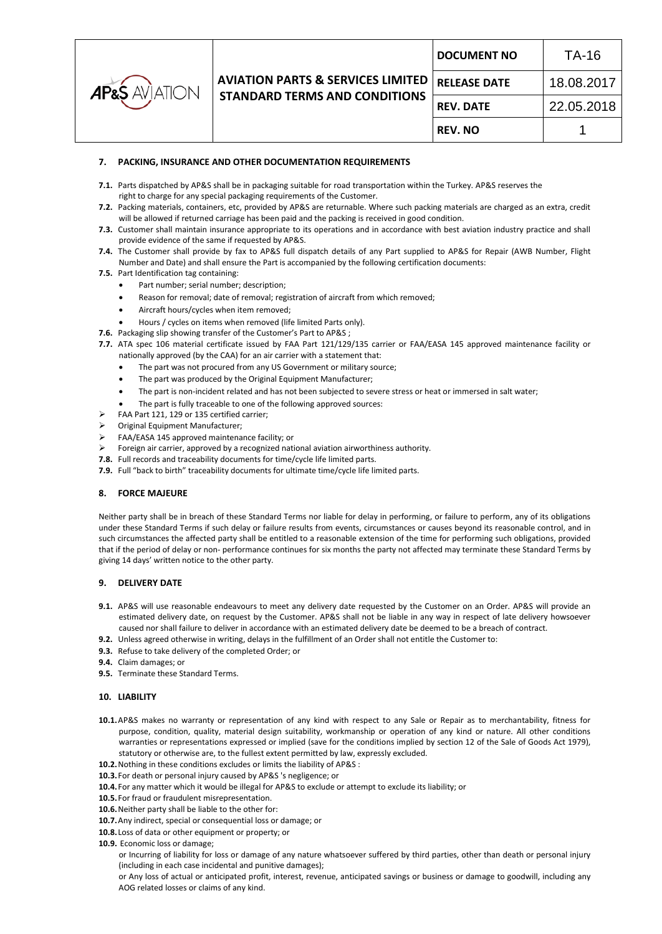| AP&S | <b>AVIATION PARTS &amp; SERVICES LIMITED</b><br><b>STANDARD TERMS AND CONDITIONS</b> | <b>DOCUMENT NO</b>  | TA-16      |
|------|--------------------------------------------------------------------------------------|---------------------|------------|
|      |                                                                                      | <b>RELEASE DATE</b> | 18.08.2017 |
|      |                                                                                      | <b>REV. DATE</b>    | 22.05.2018 |
|      |                                                                                      | <b>REV. NO</b>      |            |

# **7. PACKING, INSURANCE AND OTHER DOCUMENTATION REQUIREMENTS**

- **7.1.** Parts dispatched by AP&S shall be in packaging suitable for road transportation within the Turkey. AP&S reserves the right to charge for any special packaging requirements of the Customer.
- **7.2.** Packing materials, containers, etc, provided by AP&S are returnable. Where such packing materials are charged as an extra, credit will be allowed if returned carriage has been paid and the packing is received in good condition.
- **7.3.** Customer shall maintain insurance appropriate to its operations and in accordance with best aviation industry practice and shall provide evidence of the same if requested by AP&S.
- **7.4.** The Customer shall provide by fax to AP&S full dispatch details of any Part supplied to AP&S for Repair (AWB Number, Flight Number and Date) and shall ensure the Part is accompanied by the following certification documents:
- **7.5.** Part Identification tag containing:
	- Part number; serial number; description;
	- Reason for removal; date of removal; registration of aircraft from which removed;
	- Aircraft hours/cycles when item removed;
	- Hours / cycles on items when removed (life limited Parts only).
- **7.6.** Packaging slip showing transfer of the Customer's Part to AP&S ;
- **7.7.** ATA spec 106 material certificate issued by FAA Part 121/129/135 carrier or FAA/EASA 145 approved maintenance facility or nationally approved (by the CAA) for an air carrier with a statement that:
	- The part was not procured from any US Government or military source;
	- The part was produced by the Original Equipment Manufacturer;
	- The part is non-incident related and has not been subjected to severe stress or heat or immersed in salt water;
	- The part is fully traceable to one of the following approved sources:
- FAA Part 121, 129 or 135 certified carrier:
- Original Equipment Manufacturer;
- FAA/EASA 145 approved maintenance facility; or
- Foreign air carrier, approved by a recognized national aviation airworthiness authority.
- **7.8.** Full records and traceability documents for time/cycle life limited parts.
- **7.9.** Full "back to birth" traceability documents for ultimate time/cycle life limited parts.

# **8. FORCE MAJEURE**

Neither party shall be in breach of these Standard Terms nor liable for delay in performing, or failure to perform, any of its obligations under these Standard Terms if such delay or failure results from events, circumstances or causes beyond its reasonable control, and in such circumstances the affected party shall be entitled to a reasonable extension of the time for performing such obligations, provided that if the period of delay or non- performance continues for six months the party not affected may terminate these Standard Terms by giving 14 days' written notice to the other party.

### **9. DELIVERY DATE**

- **9.1.** AP&S will use reasonable endeavours to meet any delivery date requested by the Customer on an Order. AP&S will provide an estimated delivery date, on request by the Customer. AP&S shall not be liable in any way in respect of late delivery howsoever caused nor shall failure to deliver in accordance with an estimated delivery date be deemed to be a breach of contract.
- **9.2.** Unless agreed otherwise in writing, delays in the fulfillment of an Order shall not entitle the Customer to:
- **9.3.** Refuse to take delivery of the completed Order; or
- **9.4.** Claim damages; or
- **9.5.** Terminate these Standard Terms.

## **10. LIABILITY**

- **10.1.**AP&S makes no warranty or representation of any kind with respect to any Sale or Repair as to merchantability, fitness for purpose, condition, quality, material design suitability, workmanship or operation of any kind or nature. All other conditions warranties or representations expressed or implied (save for the conditions implied by section 12 of the Sale of Goods Act 1979), statutory or otherwise are, to the fullest extent permitted by law, expressly excluded.
- **10.2.**Nothing in these conditions excludes or limits the liability of AP&S :
- **10.3.**For death or personal injury caused by AP&S 's negligence; or
- **10.4.**For any matter which it would be illegal for AP&S to exclude or attempt to exclude its liability; or
- **10.5.**For fraud or fraudulent misrepresentation.
- **10.6.**Neither party shall be liable to the other for:
- **10.7.**Any indirect, special or consequential loss or damage; or
- **10.8.** Loss of data or other equipment or property; or
- **10.9.** Economic loss or damage;

or Incurring of liability for loss or damage of any nature whatsoever suffered by third parties, other than death or personal injury (including in each case incidental and punitive damages);

or Any loss of actual or anticipated profit, interest, revenue, anticipated savings or business or damage to goodwill, including any AOG related losses or claims of any kind.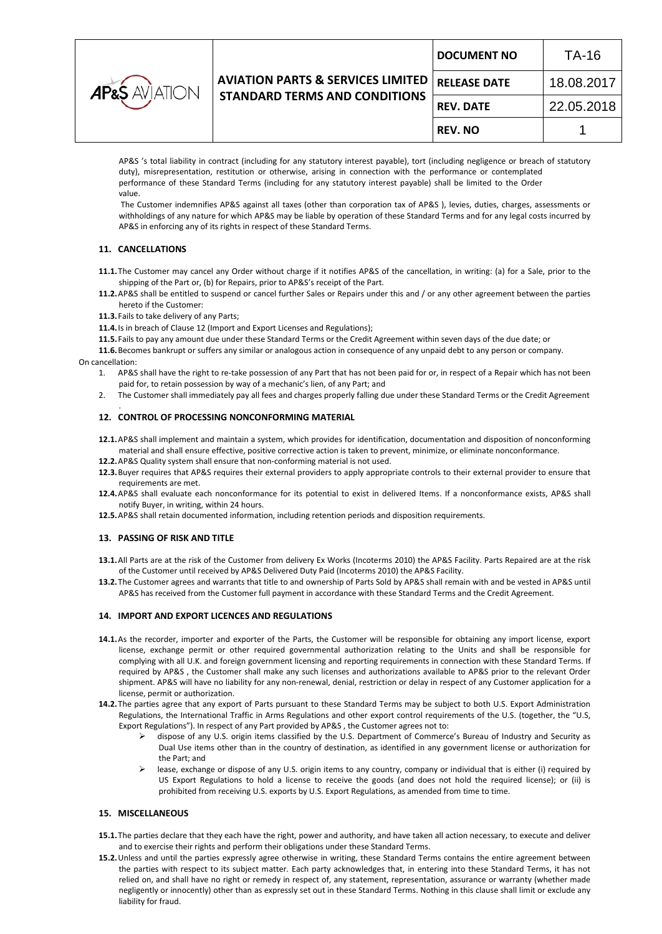| $A\mathsf{Pa}\mathsf{S}$ aviation | <b>AVIATION PARTS &amp; SERVICES LIMITED</b><br><b>STANDARD TERMS AND CONDITIONS</b> | <b>DOCUMENT NO</b>  | TA-16      |
|-----------------------------------|--------------------------------------------------------------------------------------|---------------------|------------|
|                                   |                                                                                      | <b>RELEASE DATE</b> | 18.08.2017 |
|                                   |                                                                                      | <b>REV. DATE</b>    | 22.05.2018 |
|                                   |                                                                                      | <b>REV. NO</b>      |            |

AP&S 's total liability in contract (including for any statutory interest payable), tort (including negligence or breach of statutory duty), misrepresentation, restitution or otherwise, arising in connection with the performance or contemplated performance of these Standard Terms (including for any statutory interest payable) shall be limited to the Order value.

The Customer indemnifies AP&S against all taxes (other than corporation tax of AP&S ), levies, duties, charges, assessments or withholdings of any nature for which AP&S may be liable by operation of these Standard Terms and for any legal costs incurred by AP&S in enforcing any of its rights in respect of these Standard Terms.

# **11. CANCELLATIONS**

- **11.1.**The Customer may cancel any Order without charge if it notifies AP&S of the cancellation, in writing: (a) for a Sale, prior to the shipping of the Part or, (b) for Repairs, prior to AP&S's receipt of the Part.
- **11.2.**AP&S shall be entitled to suspend or cancel further Sales or Repairs under this and / or any other agreement between the parties hereto if the Customer:
- **11.3.**Fails to take delivery of any Parts;
- **11.4.**Is in breach of Clause 12 (Import and Export Licenses and Regulations);
- **11.5.**Fails to pay any amount due under these Standard Terms or the Credit Agreement within seven days of the due date; or

**11.6.**Becomes bankrupt or suffers any similar or analogous action in consequence of any unpaid debt to any person or company.

On cancellation:

.

- 1. AP&S shall have the right to re-take possession of any Part that has not been paid for or, in respect of a Repair which has not been paid for, to retain possession by way of a mechanic's lien, of any Part; and
- 2. The Customer shall immediately pay all fees and charges properly falling due under these Standard Terms or the Credit Agreement

## **12. CONTROL OF PROCESSING NONCONFORMING MATERIAL**

- **12.1.**AP&S shall implement and maintain a system, which provides for identification, documentation and disposition of nonconforming material and shall ensure effective, positive corrective action is taken to prevent, minimize, or eliminate nonconformance.
- **12.2.**AP&S Quality system shall ensure that non-conforming material is not used.
- **12.3.**Buyer requires that AP&S requires their external providers to apply appropriate controls to their external provider to ensure that requirements are met.
- **12.4.**AP&S shall evaluate each nonconformance for its potential to exist in delivered Items. If a nonconformance exists, AP&S shall notify Buyer, in writing, within 24 hours.
- **12.5.**AP&S shall retain documented information, including retention periods and disposition requirements.

## **13. PASSING OF RISK AND TITLE**

- **13.1.**All Parts are at the risk of the Customer from delivery Ex Works (Incoterms 2010) the AP&S Facility. Parts Repaired are at the risk of the Customer until received by AP&S Delivered Duty Paid (Incoterms 2010) the AP&S Facility.
- **13.2.**The Customer agrees and warrants that title to and ownership of Parts Sold by AP&S shall remain with and be vested in AP&S until AP&S has received from the Customer full payment in accordance with these Standard Terms and the Credit Agreement.

### **14. IMPORT AND EXPORT LICENCES AND REGULATIONS**

- **14.1.**As the recorder, importer and exporter of the Parts, the Customer will be responsible for obtaining any import license, export license, exchange permit or other required governmental authorization relating to the Units and shall be responsible for complying with all U.K. and foreign government licensing and reporting requirements in connection with these Standard Terms. If required by AP&S , the Customer shall make any such licenses and authorizations available to AP&S prior to the relevant Order shipment. AP&S will have no liability for any non-renewal, denial, restriction or delay in respect of any Customer application for a license, permit or authorization.
- **14.2.**The parties agree that any export of Parts pursuant to these Standard Terms may be subject to both U.S. Export Administration Regulations, the International Traffic in Arms Regulations and other export control requirements of the U.S. (together, the "U.S, Export Regulations"). In respect of any Part provided by AP&S , the Customer agrees not to:
	- dispose of any U.S. origin items classified by the U.S. Department of Commerce's Bureau of Industry and Security as Dual Use items other than in the country of destination, as identified in any government license or authorization for the Part; and
	- lease, exchange or dispose of any U.S. origin items to any country, company or individual that is either (i) required by US Export Regulations to hold a license to receive the goods (and does not hold the required license); or (ii) is prohibited from receiving U.S. exports by U.S. Export Regulations, as amended from time to time.

### **15. MISCELLANEOUS**

- **15.1.**The parties declare that they each have the right, power and authority, and have taken all action necessary, to execute and deliver and to exercise their rights and perform their obligations under these Standard Terms.
- **15.2.**Unless and until the parties expressly agree otherwise in writing, these Standard Terms contains the entire agreement between the parties with respect to its subject matter. Each party acknowledges that, in entering into these Standard Terms, it has not relied on, and shall have no right or remedy in respect of, any statement, representation, assurance or warranty (whether made negligently or innocently) other than as expressly set out in these Standard Terms. Nothing in this clause shall limit or exclude any liability for fraud.